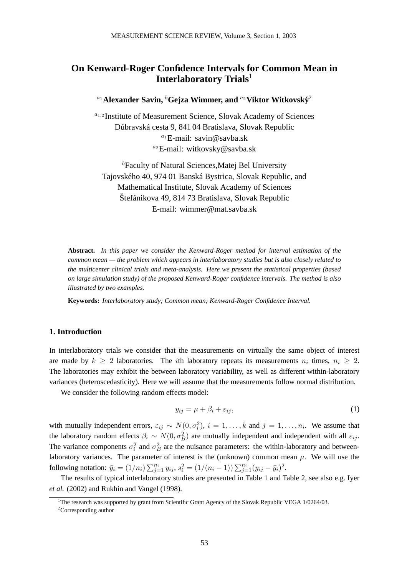# **On Kenward-Roger Confidence Intervals for Common Mean in Interlaboratory Trials**<sup>1</sup>

# *<sup>a</sup>*1**Alexander Savin,** *<sup>b</sup>* **Gejza Wimmer, and** *<sup>a</sup>*2**Viktor Witkovsky´** <sup>2</sup>

*<sup>a</sup>*1*,*<sup>2</sup> Institute of Measurement Science, Slovak Academy of Sciences Dúbravská cesta 9, 841 04 Bratislava, Slovak Republic *<sup>a</sup>*<sup>1</sup> E-mail: savin@savba.sk *<sup>a</sup>*<sup>2</sup> E-mail: witkovsky@savba.sk

*b* Faculty of Natural Sciences,Matej Bel University Tajovského 40, 974 01 Banská Bystrica, Slovak Republic, and Mathematical Institute, Slovak Academy of Sciences Štefánikova 49, 814 73 Bratislava, Slovak Republic E-mail: wimmer@mat.savba.sk

**Abstract.** *In this paper we consider the Kenward-Roger method for interval estimation of the common mean — the problem which appears in interlaboratory studies but is also closely related to the multicenter clinical trials and meta-analysis. Here we present the statistical properties (based on large simulation study) of the proposed Kenward-Roger confidence intervals. The method is also illustrated by two examples.*

**Keywords:** *Interlaboratory study; Common mean; Kenward-Roger Confidence Interval.*

## **1. Introduction**

In interlaboratory trials we consider that the measurements on virtually the same object of interest are made by  $k \geq 2$  laboratories. The *i*th laboratory repeats its measurements  $n_i$  times,  $n_i \geq 2$ . The laboratories may exhibit the between laboratory variability, as well as different within-laboratory variances (heteroscedasticity). Here we will assume that the measurements follow normal distribution.

We consider the following random effects model:

$$
y_{ij} = \mu + \beta_i + \varepsilon_{ij},\tag{1}
$$

with mutually independent errors,  $\varepsilon_{ij} \sim N(0, \sigma_i^2)$ ,  $i = 1, \ldots, k$  and  $j = 1, \ldots, n_i$ . We assume that the laboratory random effects  $\beta_i \sim N(0, \sigma_B^2)$  are mutually independent and independent with all  $\varepsilon_{ij}$ . The variance components  $\sigma_i^2$  and  $\sigma_B^2$  are the nuisance parameters: the within-laboratory and betweenlaboratory variances. The parameter of interest is the (unknown) common mean  $\mu$ . We will use the following notation:  $\bar{y}_i = (1/n_i) \sum_{j=1}^{n_i} y_{ij}, s_i^2 = (1/(n_i - 1)) \sum_{j=1}^{n_i} (y_{ij} - \bar{y}_i)^2$ .

The results of typical interlaboratory studies are presented in Table 1 and Table 2, see also e.g. Iyer *et al.* (2002) and Rukhin and Vangel (1998).

<sup>&</sup>lt;sup>1</sup>The research was supported by grant from Scientific Grant Agency of the Slovak Republic VEGA 1/0264/03.

<sup>&</sup>lt;sup>2</sup>Corresponding author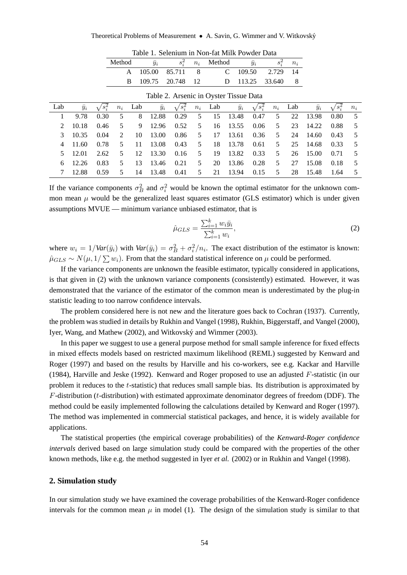|     |             |         | Method |     | $\bar{y}_i$ | $s_i^2$                                | $n_i$ | Method |             | $\bar{y}_i$ | $s_i^2$ | $n_i$ |             |                |       |
|-----|-------------|---------|--------|-----|-------------|----------------------------------------|-------|--------|-------------|-------------|---------|-------|-------------|----------------|-------|
|     |             |         |        | A   | 105.00      | 85.711                                 | 8     |        |             | 109.50      | 2.729   | 14    |             |                |       |
|     |             |         |        | B   | 109.75      | 20.748                                 | 12    |        | D           | 113.25      | 33.640  | 8     |             |                |       |
|     |             |         |        |     |             | Table 2. Arsenic in Oyster Tissue Data |       |        |             |             |         |       |             |                |       |
| Lab | $\bar{y}_i$ | $s_i^2$ | $n_i$  | Lab | $\bar{y}_i$ | $s_i^2$                                | $n_i$ | Lab    | $\bar{y}_i$ | $s_i^2$     | $n_i$   | Lab   | $\bar{y}_i$ | $\sqrt{s_i^2}$ | $n_i$ |
|     | 9.78        | 0.30    | 5      | 8   | 12.88       | 0.29                                   | 5     | 15     | 13.48       | 0.47        | 5       | 22    | 13.98       | 0.80           | 5     |
| 2   | 10.18       | 0.46    | 5      | 9   | 12.96       | 0.52                                   | 5     | 16     | 13.55       | 0.06        | 5       | 23    | 14.22       | 0.88           | 5     |
| 3   | 10.35       | 0.04    | 2      | 10  | 13.00       | 0.86                                   | 5     | 17     | 13.61       | 0.36        | 5       | 24    | 14.60       | 0.43           | 5     |
| 4   | 11.60       | 0.78    | 5      | 11  | 13.08       | 0.43                                   | 5     | 18     | 13.78       | 0.61        | 5       | 25    | 14.68       | 0.33           | 5     |
| 5   | 12.01       | 2.62    | 5      | 12  | 13.30       | 0.16                                   | 5     | 19     | 13.82       | 0.33        | 5       | 26    | 15.00       | 0.71           | 5     |
| 6   | 12.26       | 0.83    | 5      | 13  | 13.46       | 0.21                                   | 5     | 20     | 13.86       | 0.28        | 5       | 27    | 15.08       | 0.18           | 5     |
|     | 12.88       | 0.59    | 5      | 14  | 13.48       | 0.41                                   | 5     | 21     | 13.94       | 0.15        | 5       | 28    | 15.48       | 1.64           | 5     |

Table 1. Selenium in Non-fat Milk Powder Data

If the variance components  $\sigma_B^2$  and  $\sigma_i^2$  would be known the optimal estimator for the unknown common mean  $\mu$  would be the generalized least squares estimator (GLS estimator) which is under given assumptions MVUE — minimum variance unbiased estimator, that is

$$
\hat{\mu}_{GLS} = \frac{\sum_{i=1}^{k} w_i \bar{y}_i}{\sum_{i=1}^{k} w_i},
$$
\n(2)

where  $w_i = 1 / Var(\bar{y}_i)$  with  $Var(\bar{y}_i) = \sigma_B^2 + \sigma_i^2 / n_i$ . The exact distribution of the estimator is known:  $\hat{\mu}_{GLS} \sim N(\mu, 1/\sum w_i)$ . From that the standard statistical inference on  $\mu$  could be performed.

If the variance components are unknown the feasible estimator, typically considered in applications, is that given in (2) with the unknown variance components (consistently) estimated. However, it was demonstrated that the variance of the estimator of the common mean is underestimated by the plug-in statistic leading to too narrow confidence intervals.

The problem considered here is not new and the literature goes back to Cochran (1937). Currently, the problem was studied in details by Rukhin and Vangel (1998), Rukhin, Biggerstaff, and Vangel (2000), Iyer, Wang, and Mathew (2002), and Witkovsky´ and Wimmer (2003).

In this paper we suggest to use a general purpose method for small sample inference for fixed effects in mixed effects models based on restricted maximum likelihood (REML) suggested by Kenward and Roger (1997) and based on the results by Harville and his co-workers, see e.g. Kackar and Harville (1984), Harville and Jeske (1992). Kenward and Roger proposed to use an adjusted  $F$ -statistic (in our problem it reduces to the t-statistic) that reduces small sample bias. Its distribution is approximated by  $F$ -distribution ( $t$ -distribution) with estimated approximate denominator degrees of freedom (DDF). The method could be easily implemented following the calculations detailed by Kenward and Roger (1997). The method was implemented in commercial statistical packages, and hence, it is widely available for applications.

The statistical properties (the empirical coverage probabilities) of the *Kenward-Roger confidence intervals* derived based on large simulation study could be compared with the properties of the other known methods, like e.g. the method suggested in Iyer *et al.* (2002) or in Rukhin and Vangel (1998).

#### **2. Simulation study**

In our simulation study we have examined the coverage probabilities of the Kenward-Roger confidence intervals for the common mean  $\mu$  in model (1). The design of the simulation study is similar to that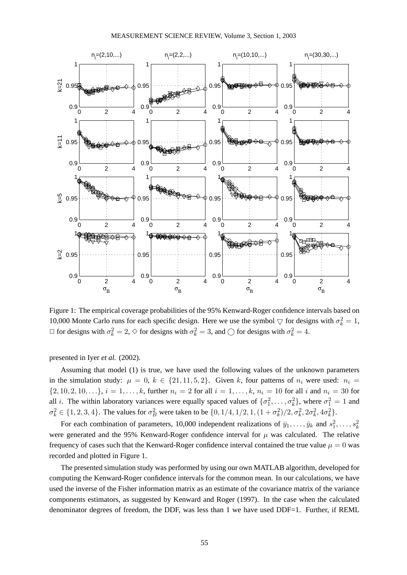

Figure 1: The empirical coverage probabilities of the 95% Kenward-Roger confidence intervals based on 10,000 Monte Carlo runs for each specific design. Here we use the symbol  $\bigtriangledown$  for designs with  $\sigma_k^2 = 1$ ,  $\Box$  for designs with  $\sigma_k^2 = 2$ ,  $\diamond$  for designs with  $\sigma_k^2 = 3$ , and  $\bigcirc$  for designs with  $\sigma_k^2 = 4$ .

presented in Iyer *et al.* (2002).

Assuming that model (1) is true, we have used the following values of the unknown parameters in the simulation study:  $\mu = 0, k \in \{21, 11, 5, 2\}$ . Given k, four patterns of  $n_i$  were used:  $n_i =$  $\{2, 10, 2, 10, \ldots\}, i = 1, \ldots, k$ , further  $n_i = 2$  for all  $i = 1, \ldots, k$ ,  $n_i = 10$  for all i and  $n_i = 30$  for all *i*. The within laboratory variances were equally spaced values of  $\{\sigma_1^2, \ldots, \sigma_k^2\}$ , where  $\sigma_1^2 = 1$  and  $\sigma_k^2 \in \{1, 2, 3, 4\}$ . The values for  $\sigma_B^2$  were taken to be  $\{0, 1/4, 1/2, 1, (1 + \sigma_k^2)/2, \sigma_k^2, 2\sigma_k^2, 4\sigma_k^2\}$ .

For each combination of parameters, 10,000 independent realizations of  $\bar{y}_1, \ldots, \bar{y}_k$  and  $s_1^2, \ldots, s_k^2$ were generated and the 95% Kenward-Roger confidence interval for  $\mu$  was calculated. The relative frequency of cases such that the Kenward-Roger confidence interval contained the true value  $\mu = 0$  was recorded and plotted in Figure 1.

The presented simulation study was performed by using our own MATLAB algorithm, developed for computing the Kenward-Roger confidence intervals for the common mean. In our calculations, we have used the inverse of the Fisher information matrix as an estimate of the covariance matrix of the variance components estimators, as suggested by Kenward and Roger (1997). In the case when the calculated denominator degrees of freedom, the DDF, was less than 1 we have used DDF=1. Further, if REML